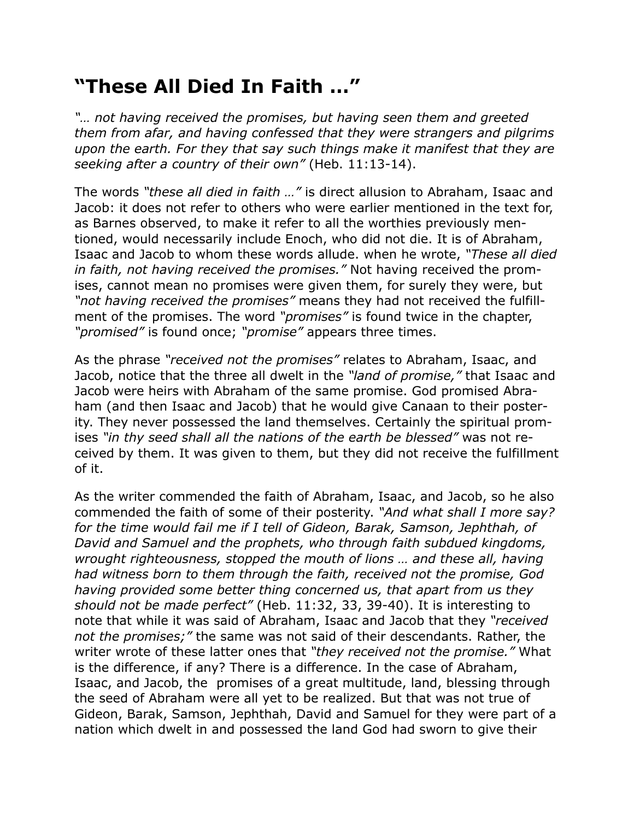## **"These All Died In Faith …"**

*"… not having received the promises, but having seen them and greeted them from afar, and having confessed that they were strangers and pilgrims upon the earth. For they that say such things make it manifest that they are seeking after a country of their own"* (Heb. 11:13-14).

The words *"these all died in faith …"* is direct allusion to Abraham, Isaac and Jacob: it does not refer to others who were earlier mentioned in the text for, as Barnes observed, to make it refer to all the worthies previously mentioned, would necessarily include Enoch, who did not die. It is of Abraham, Isaac and Jacob to whom these words allude. when he wrote, *"These all died in faith, not having received the promises."* Not having received the promises, cannot mean no promises were given them, for surely they were, but *"not having received the promises"* means they had not received the fulfillment of the promises. The word *"promises"* is found twice in the chapter, *"promised"* is found once; *"promise"* appears three times.

As the phrase *"received not the promises"* relates to Abraham, Isaac, and Jacob, notice that the three all dwelt in the *"land of promise,"* that Isaac and Jacob were heirs with Abraham of the same promise. God promised Abraham (and then Isaac and Jacob) that he would give Canaan to their posterity. They never possessed the land themselves. Certainly the spiritual promises *"in thy seed shall all the nations of the earth be blessed"* was not received by them. It was given to them, but they did not receive the fulfillment of it.

As the writer commended the faith of Abraham, Isaac, and Jacob, so he also commended the faith of some of their posterity. *"And what shall I more say? for the time would fail me if I tell of Gideon, Barak, Samson, Jephthah, of David and Samuel and the prophets, who through faith subdued kingdoms, wrought righteousness, stopped the mouth of lions … and these all, having had witness born to them through the faith, received not the promise, God having provided some better thing concerned us, that apart from us they should not be made perfect"* (Heb. 11:32, 33, 39-40). It is interesting to note that while it was said of Abraham, Isaac and Jacob that they *"received not the promises;"* the same was not said of their descendants. Rather, the writer wrote of these latter ones that *"they received not the promise."* What is the difference, if any? There is a difference. In the case of Abraham, Isaac, and Jacob, the promises of a great multitude, land, blessing through the seed of Abraham were all yet to be realized. But that was not true of Gideon, Barak, Samson, Jephthah, David and Samuel for they were part of a nation which dwelt in and possessed the land God had sworn to give their